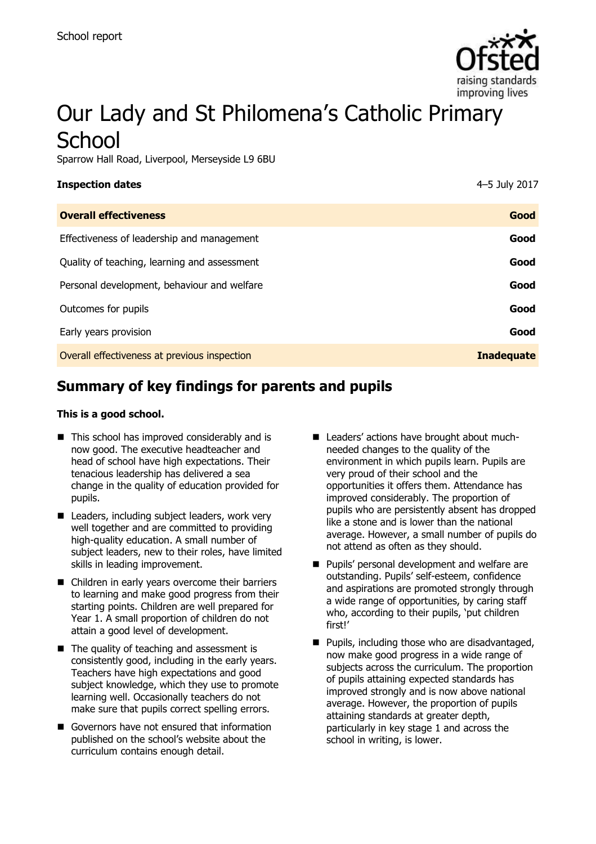

# Our Lady and St Philomena's Catholic Primary **School**

Sparrow Hall Road, Liverpool, Merseyside L9 6BU

| <b>Inspection dates</b>                      | 4-5 July 2017     |
|----------------------------------------------|-------------------|
| <b>Overall effectiveness</b>                 | Good              |
| Effectiveness of leadership and management   | Good              |
| Quality of teaching, learning and assessment | Good              |
| Personal development, behaviour and welfare  | Good              |
| Outcomes for pupils                          | Good              |
| Early years provision                        | Good              |
| Overall effectiveness at previous inspection | <b>Inadequate</b> |
|                                              |                   |

# **Summary of key findings for parents and pupils**

#### **This is a good school.**

- $\blacksquare$  This school has improved considerably and is now good. The executive headteacher and head of school have high expectations. Their tenacious leadership has delivered a sea change in the quality of education provided for pupils.
- Leaders, including subject leaders, work very well together and are committed to providing high-quality education. A small number of subject leaders, new to their roles, have limited skills in leading improvement.
- Children in early years overcome their barriers to learning and make good progress from their starting points. Children are well prepared for Year 1. A small proportion of children do not attain a good level of development.
- $\blacksquare$  The quality of teaching and assessment is consistently good, including in the early years. Teachers have high expectations and good subject knowledge, which they use to promote learning well. Occasionally teachers do not make sure that pupils correct spelling errors.
- Governors have not ensured that information published on the school's website about the curriculum contains enough detail.
- Leaders' actions have brought about muchneeded changes to the quality of the environment in which pupils learn. Pupils are very proud of their school and the opportunities it offers them. Attendance has improved considerably. The proportion of pupils who are persistently absent has dropped like a stone and is lower than the national average. However, a small number of pupils do not attend as often as they should.
- **Pupils' personal development and welfare are** outstanding. Pupils' self-esteem, confidence and aspirations are promoted strongly through a wide range of opportunities, by caring staff who, according to their pupils, 'put children first!'
- $\blacksquare$  Pupils, including those who are disadvantaged, now make good progress in a wide range of subjects across the curriculum. The proportion of pupils attaining expected standards has improved strongly and is now above national average. However, the proportion of pupils attaining standards at greater depth, particularly in key stage 1 and across the school in writing, is lower.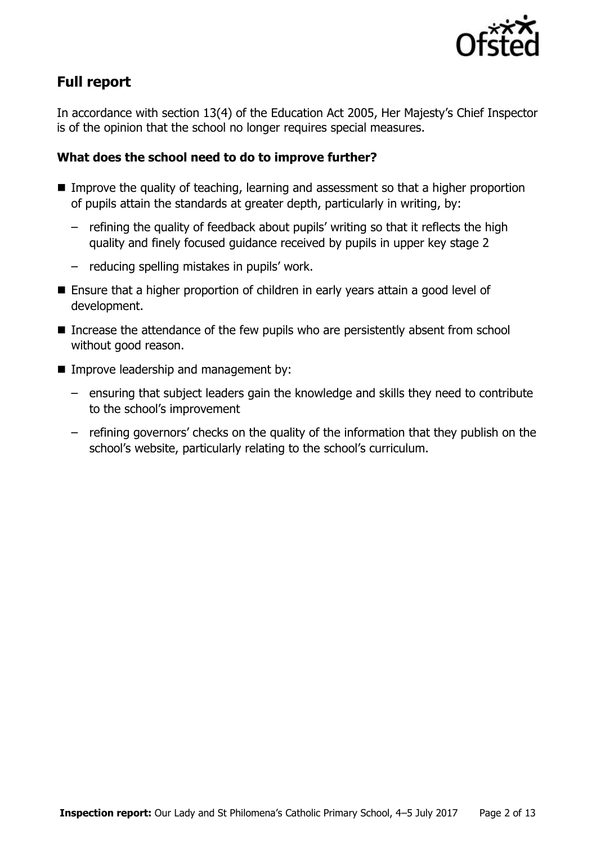

# **Full report**

In accordance with section 13(4) of the Education Act 2005, Her Majesty's Chief Inspector is of the opinion that the school no longer requires special measures.

### **What does the school need to do to improve further?**

- **IMPROVE THE QUALITY OF TEACHT AND META LIMIT IS CONTINUES.** Improve the quality of teaching, learning and assessment so that a higher proportion of pupils attain the standards at greater depth, particularly in writing, by:
	- refining the quality of feedback about pupils' writing so that it reflects the high quality and finely focused guidance received by pupils in upper key stage 2
	- reducing spelling mistakes in pupils' work.
- Ensure that a higher proportion of children in early years attain a good level of development.
- Increase the attendance of the few pupils who are persistently absent from school without good reason.
- **Improve leadership and management by:** 
	- ensuring that subject leaders gain the knowledge and skills they need to contribute to the school's improvement
	- refining governors' checks on the quality of the information that they publish on the school's website, particularly relating to the school's curriculum.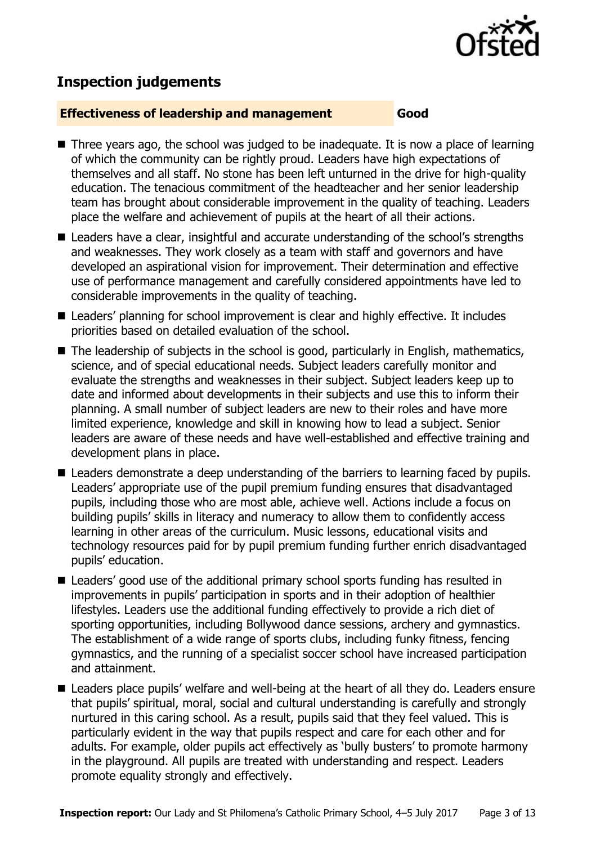

# **Inspection judgements**

#### **Effectiveness of leadership and management Good**

- Three years ago, the school was judged to be inadequate. It is now a place of learning of which the community can be rightly proud. Leaders have high expectations of themselves and all staff. No stone has been left unturned in the drive for high-quality education. The tenacious commitment of the headteacher and her senior leadership team has brought about considerable improvement in the quality of teaching. Leaders place the welfare and achievement of pupils at the heart of all their actions.
- Leaders have a clear, insightful and accurate understanding of the school's strengths and weaknesses. They work closely as a team with staff and governors and have developed an aspirational vision for improvement. Their determination and effective use of performance management and carefully considered appointments have led to considerable improvements in the quality of teaching.
- Leaders' planning for school improvement is clear and highly effective. It includes priorities based on detailed evaluation of the school.
- The leadership of subjects in the school is good, particularly in English, mathematics, science, and of special educational needs. Subject leaders carefully monitor and evaluate the strengths and weaknesses in their subject. Subject leaders keep up to date and informed about developments in their subjects and use this to inform their planning. A small number of subject leaders are new to their roles and have more limited experience, knowledge and skill in knowing how to lead a subject. Senior leaders are aware of these needs and have well-established and effective training and development plans in place.
- Leaders demonstrate a deep understanding of the barriers to learning faced by pupils. Leaders' appropriate use of the pupil premium funding ensures that disadvantaged pupils, including those who are most able, achieve well. Actions include a focus on building pupils' skills in literacy and numeracy to allow them to confidently access learning in other areas of the curriculum. Music lessons, educational visits and technology resources paid for by pupil premium funding further enrich disadvantaged pupils' education.
- Leaders' good use of the additional primary school sports funding has resulted in improvements in pupils' participation in sports and in their adoption of healthier lifestyles. Leaders use the additional funding effectively to provide a rich diet of sporting opportunities, including Bollywood dance sessions, archery and gymnastics. The establishment of a wide range of sports clubs, including funky fitness, fencing gymnastics, and the running of a specialist soccer school have increased participation and attainment.
- Leaders place pupils' welfare and well-being at the heart of all they do. Leaders ensure that pupils' spiritual, moral, social and cultural understanding is carefully and strongly nurtured in this caring school. As a result, pupils said that they feel valued. This is particularly evident in the way that pupils respect and care for each other and for adults. For example, older pupils act effectively as 'bully busters' to promote harmony in the playground. All pupils are treated with understanding and respect. Leaders promote equality strongly and effectively.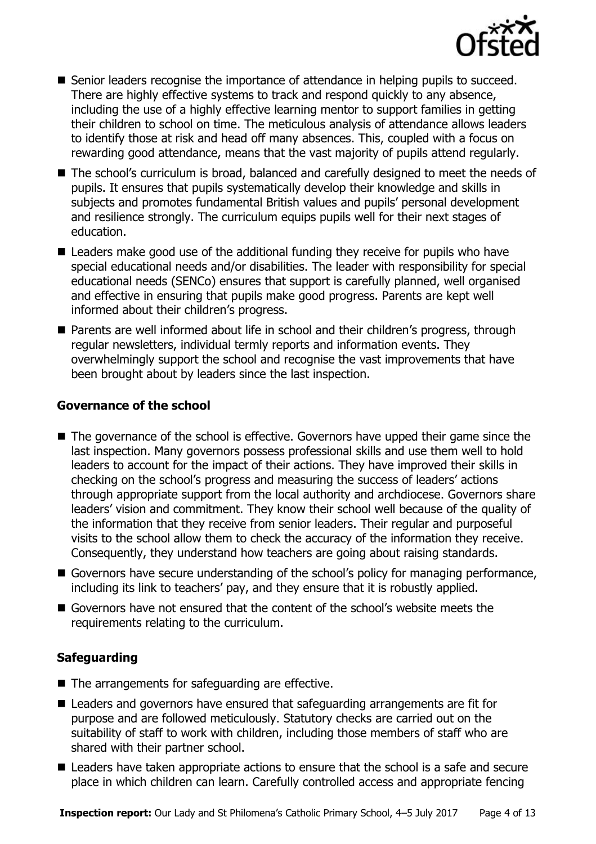

- Senior leaders recognise the importance of attendance in helping pupils to succeed. There are highly effective systems to track and respond quickly to any absence, including the use of a highly effective learning mentor to support families in getting their children to school on time. The meticulous analysis of attendance allows leaders to identify those at risk and head off many absences. This, coupled with a focus on rewarding good attendance, means that the vast majority of pupils attend regularly.
- The school's curriculum is broad, balanced and carefully designed to meet the needs of pupils. It ensures that pupils systematically develop their knowledge and skills in subjects and promotes fundamental British values and pupils' personal development and resilience strongly. The curriculum equips pupils well for their next stages of education.
- Leaders make good use of the additional funding they receive for pupils who have special educational needs and/or disabilities. The leader with responsibility for special educational needs (SENCo) ensures that support is carefully planned, well organised and effective in ensuring that pupils make good progress. Parents are kept well informed about their children's progress.
- Parents are well informed about life in school and their children's progress, through regular newsletters, individual termly reports and information events. They overwhelmingly support the school and recognise the vast improvements that have been brought about by leaders since the last inspection.

#### **Governance of the school**

- The governance of the school is effective. Governors have upped their game since the last inspection. Many governors possess professional skills and use them well to hold leaders to account for the impact of their actions. They have improved their skills in checking on the school's progress and measuring the success of leaders' actions through appropriate support from the local authority and archdiocese. Governors share leaders' vision and commitment. They know their school well because of the quality of the information that they receive from senior leaders. Their regular and purposeful visits to the school allow them to check the accuracy of the information they receive. Consequently, they understand how teachers are going about raising standards.
- Governors have secure understanding of the school's policy for managing performance, including its link to teachers' pay, and they ensure that it is robustly applied.
- Governors have not ensured that the content of the school's website meets the requirements relating to the curriculum.

#### **Safeguarding**

- The arrangements for safeguarding are effective.
- Leaders and governors have ensured that safeguarding arrangements are fit for purpose and are followed meticulously. Statutory checks are carried out on the suitability of staff to work with children, including those members of staff who are shared with their partner school.
- Leaders have taken appropriate actions to ensure that the school is a safe and secure place in which children can learn. Carefully controlled access and appropriate fencing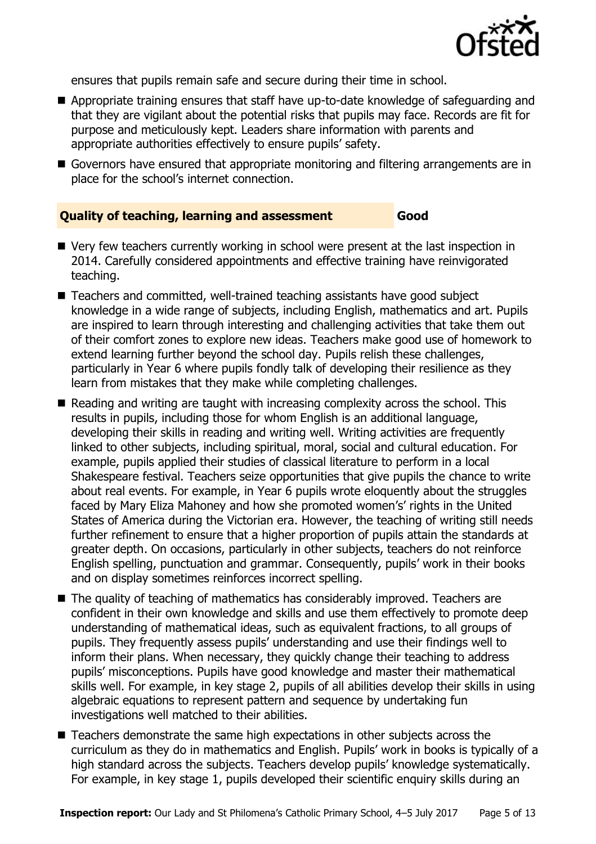

ensures that pupils remain safe and secure during their time in school.

- Appropriate training ensures that staff have up-to-date knowledge of safeguarding and that they are vigilant about the potential risks that pupils may face. Records are fit for purpose and meticulously kept. Leaders share information with parents and appropriate authorities effectively to ensure pupils' safety.
- Governors have ensured that appropriate monitoring and filtering arrangements are in place for the school's internet connection.

#### **Quality of teaching, learning and assessment Good**

- Very few teachers currently working in school were present at the last inspection in 2014. Carefully considered appointments and effective training have reinvigorated teaching.
- Teachers and committed, well-trained teaching assistants have good subject knowledge in a wide range of subjects, including English, mathematics and art. Pupils are inspired to learn through interesting and challenging activities that take them out of their comfort zones to explore new ideas. Teachers make good use of homework to extend learning further beyond the school day. Pupils relish these challenges, particularly in Year 6 where pupils fondly talk of developing their resilience as they learn from mistakes that they make while completing challenges.
- Reading and writing are taught with increasing complexity across the school. This results in pupils, including those for whom English is an additional language, developing their skills in reading and writing well. Writing activities are frequently linked to other subjects, including spiritual, moral, social and cultural education. For example, pupils applied their studies of classical literature to perform in a local Shakespeare festival. Teachers seize opportunities that give pupils the chance to write about real events. For example, in Year 6 pupils wrote eloquently about the struggles faced by Mary Eliza Mahoney and how she promoted women's' rights in the United States of America during the Victorian era. However, the teaching of writing still needs further refinement to ensure that a higher proportion of pupils attain the standards at greater depth. On occasions, particularly in other subjects, teachers do not reinforce English spelling, punctuation and grammar. Consequently, pupils' work in their books and on display sometimes reinforces incorrect spelling.
- The quality of teaching of mathematics has considerably improved. Teachers are confident in their own knowledge and skills and use them effectively to promote deep understanding of mathematical ideas, such as equivalent fractions, to all groups of pupils. They frequently assess pupils' understanding and use their findings well to inform their plans. When necessary, they quickly change their teaching to address pupils' misconceptions. Pupils have good knowledge and master their mathematical skills well. For example, in key stage 2, pupils of all abilities develop their skills in using algebraic equations to represent pattern and sequence by undertaking fun investigations well matched to their abilities.
- Teachers demonstrate the same high expectations in other subjects across the curriculum as they do in mathematics and English. Pupils' work in books is typically of a high standard across the subjects. Teachers develop pupils' knowledge systematically. For example, in key stage 1, pupils developed their scientific enquiry skills during an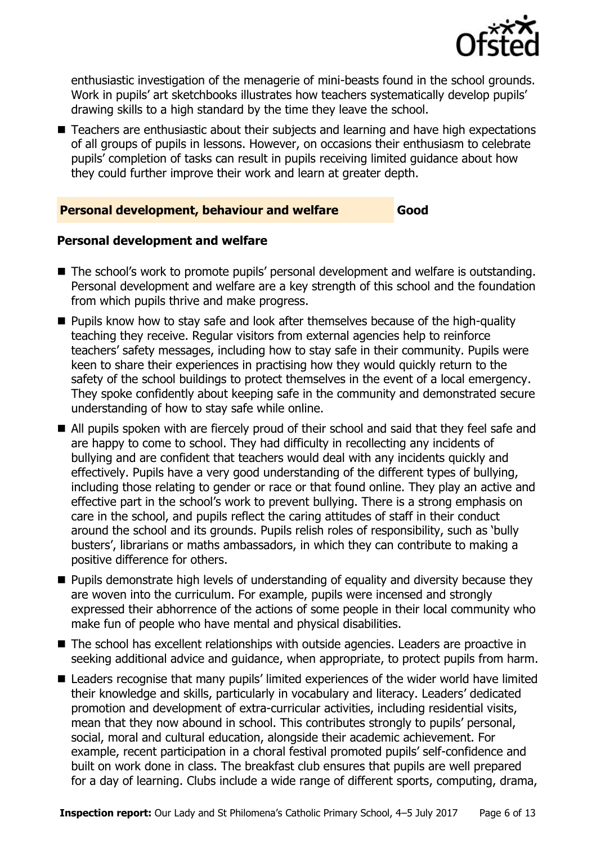

enthusiastic investigation of the menagerie of mini-beasts found in the school grounds. Work in pupils' art sketchbooks illustrates how teachers systematically develop pupils' drawing skills to a high standard by the time they leave the school.

■ Teachers are enthusiastic about their subjects and learning and have high expectations of all groups of pupils in lessons. However, on occasions their enthusiasm to celebrate pupils' completion of tasks can result in pupils receiving limited guidance about how they could further improve their work and learn at greater depth.

#### **Personal development, behaviour and welfare Good**

#### **Personal development and welfare**

- The school's work to promote pupils' personal development and welfare is outstanding. Personal development and welfare are a key strength of this school and the foundation from which pupils thrive and make progress.
- **Pupils know how to stay safe and look after themselves because of the high-quality** teaching they receive. Regular visitors from external agencies help to reinforce teachers' safety messages, including how to stay safe in their community. Pupils were keen to share their experiences in practising how they would quickly return to the safety of the school buildings to protect themselves in the event of a local emergency. They spoke confidently about keeping safe in the community and demonstrated secure understanding of how to stay safe while online.
- All pupils spoken with are fiercely proud of their school and said that they feel safe and are happy to come to school. They had difficulty in recollecting any incidents of bullying and are confident that teachers would deal with any incidents quickly and effectively. Pupils have a very good understanding of the different types of bullying, including those relating to gender or race or that found online. They play an active and effective part in the school's work to prevent bullying. There is a strong emphasis on care in the school, and pupils reflect the caring attitudes of staff in their conduct around the school and its grounds. Pupils relish roles of responsibility, such as 'bully busters', librarians or maths ambassadors, in which they can contribute to making a positive difference for others.
- **Pupils demonstrate high levels of understanding of equality and diversity because they** are woven into the curriculum. For example, pupils were incensed and strongly expressed their abhorrence of the actions of some people in their local community who make fun of people who have mental and physical disabilities.
- The school has excellent relationships with outside agencies. Leaders are proactive in seeking additional advice and guidance, when appropriate, to protect pupils from harm.
- Leaders recognise that many pupils' limited experiences of the wider world have limited their knowledge and skills, particularly in vocabulary and literacy. Leaders' dedicated promotion and development of extra-curricular activities, including residential visits, mean that they now abound in school. This contributes strongly to pupils' personal, social, moral and cultural education, alongside their academic achievement. For example, recent participation in a choral festival promoted pupils' self-confidence and built on work done in class. The breakfast club ensures that pupils are well prepared for a day of learning. Clubs include a wide range of different sports, computing, drama,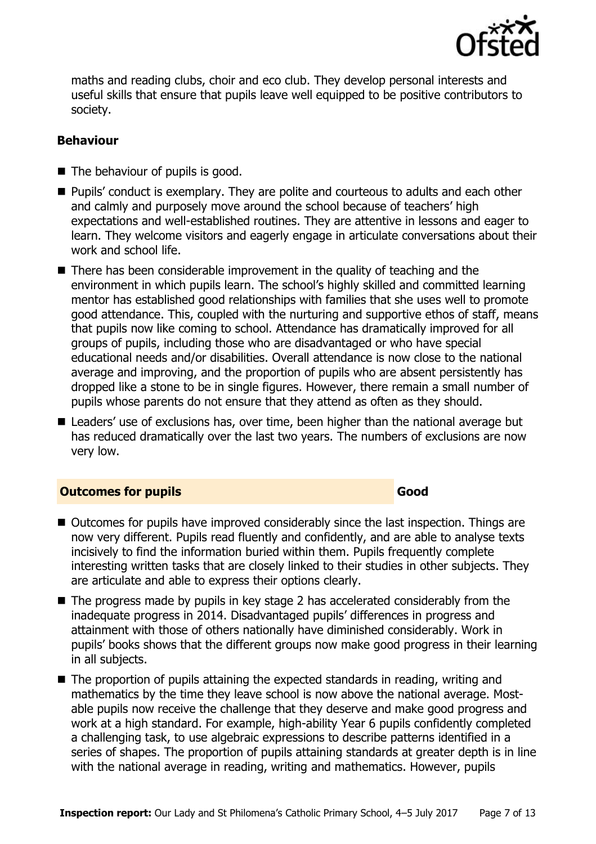

maths and reading clubs, choir and eco club. They develop personal interests and useful skills that ensure that pupils leave well equipped to be positive contributors to society.

#### **Behaviour**

- The behaviour of pupils is good.
- Pupils' conduct is exemplary. They are polite and courteous to adults and each other and calmly and purposely move around the school because of teachers' high expectations and well-established routines. They are attentive in lessons and eager to learn. They welcome visitors and eagerly engage in articulate conversations about their work and school life.
- There has been considerable improvement in the quality of teaching and the environment in which pupils learn. The school's highly skilled and committed learning mentor has established good relationships with families that she uses well to promote good attendance. This, coupled with the nurturing and supportive ethos of staff, means that pupils now like coming to school. Attendance has dramatically improved for all groups of pupils, including those who are disadvantaged or who have special educational needs and/or disabilities. Overall attendance is now close to the national average and improving, and the proportion of pupils who are absent persistently has dropped like a stone to be in single figures. However, there remain a small number of pupils whose parents do not ensure that they attend as often as they should.
- Leaders' use of exclusions has, over time, been higher than the national average but has reduced dramatically over the last two years. The numbers of exclusions are now very low.

#### **Outcomes for pupils Good Good**

- Outcomes for pupils have improved considerably since the last inspection. Things are now very different. Pupils read fluently and confidently, and are able to analyse texts incisively to find the information buried within them. Pupils frequently complete interesting written tasks that are closely linked to their studies in other subjects. They are articulate and able to express their options clearly.
- $\blacksquare$  The progress made by pupils in key stage 2 has accelerated considerably from the inadequate progress in 2014. Disadvantaged pupils' differences in progress and attainment with those of others nationally have diminished considerably. Work in pupils' books shows that the different groups now make good progress in their learning in all subjects.
- The proportion of pupils attaining the expected standards in reading, writing and mathematics by the time they leave school is now above the national average. Mostable pupils now receive the challenge that they deserve and make good progress and work at a high standard. For example, high-ability Year 6 pupils confidently completed a challenging task, to use algebraic expressions to describe patterns identified in a series of shapes. The proportion of pupils attaining standards at greater depth is in line with the national average in reading, writing and mathematics. However, pupils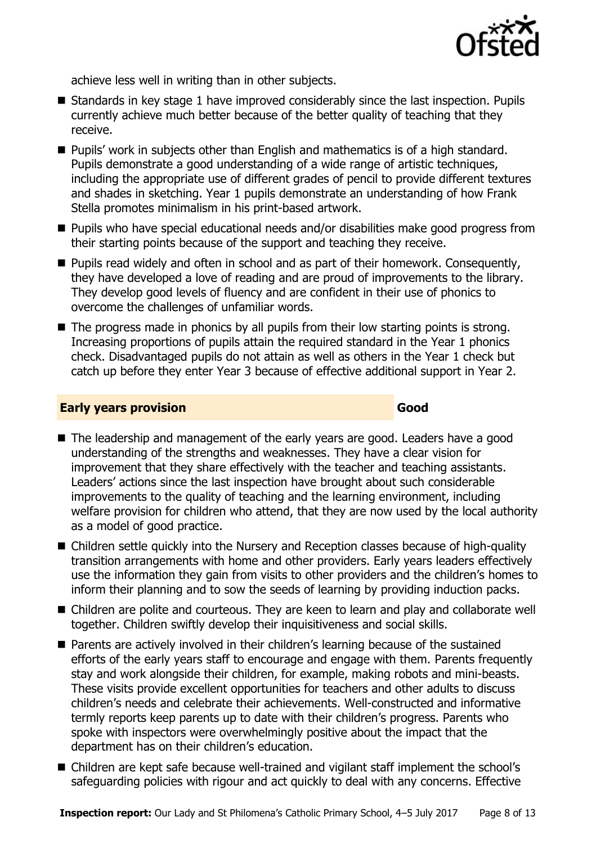

achieve less well in writing than in other subjects.

- $\blacksquare$  Standards in key stage 1 have improved considerably since the last inspection. Pupils currently achieve much better because of the better quality of teaching that they receive.
- Pupils' work in subjects other than English and mathematics is of a high standard. Pupils demonstrate a good understanding of a wide range of artistic techniques, including the appropriate use of different grades of pencil to provide different textures and shades in sketching. Year 1 pupils demonstrate an understanding of how Frank Stella promotes minimalism in his print-based artwork.
- Pupils who have special educational needs and/or disabilities make good progress from their starting points because of the support and teaching they receive.
- **Pupils read widely and often in school and as part of their homework. Consequently,** they have developed a love of reading and are proud of improvements to the library. They develop good levels of fluency and are confident in their use of phonics to overcome the challenges of unfamiliar words.
- The progress made in phonics by all pupils from their low starting points is strong. Increasing proportions of pupils attain the required standard in the Year 1 phonics check. Disadvantaged pupils do not attain as well as others in the Year 1 check but catch up before they enter Year 3 because of effective additional support in Year 2.

#### **Early years provision Good Good**

- The leadership and management of the early years are good. Leaders have a good understanding of the strengths and weaknesses. They have a clear vision for improvement that they share effectively with the teacher and teaching assistants. Leaders' actions since the last inspection have brought about such considerable improvements to the quality of teaching and the learning environment, including welfare provision for children who attend, that they are now used by the local authority as a model of good practice.
- Children settle quickly into the Nursery and Reception classes because of high-quality transition arrangements with home and other providers. Early years leaders effectively use the information they gain from visits to other providers and the children's homes to inform their planning and to sow the seeds of learning by providing induction packs.
- Children are polite and courteous. They are keen to learn and play and collaborate well together. Children swiftly develop their inquisitiveness and social skills.
- Parents are actively involved in their children's learning because of the sustained efforts of the early years staff to encourage and engage with them. Parents frequently stay and work alongside their children, for example, making robots and mini-beasts. These visits provide excellent opportunities for teachers and other adults to discuss children's needs and celebrate their achievements. Well-constructed and informative termly reports keep parents up to date with their children's progress. Parents who spoke with inspectors were overwhelmingly positive about the impact that the department has on their children's education.
- Children are kept safe because well-trained and vigilant staff implement the school's safeguarding policies with rigour and act quickly to deal with any concerns. Effective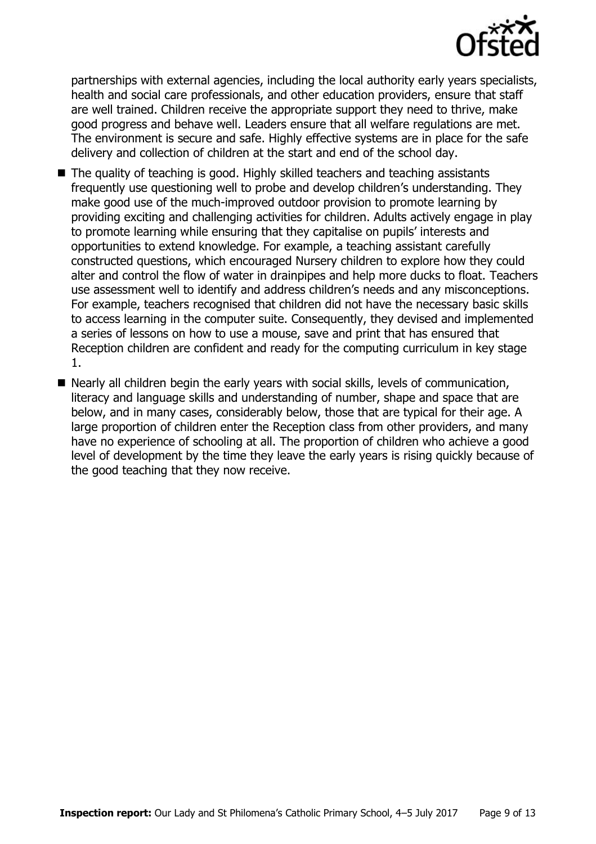

partnerships with external agencies, including the local authority early years specialists, health and social care professionals, and other education providers, ensure that staff are well trained. Children receive the appropriate support they need to thrive, make good progress and behave well. Leaders ensure that all welfare regulations are met. The environment is secure and safe. Highly effective systems are in place for the safe delivery and collection of children at the start and end of the school day.

- The quality of teaching is good. Highly skilled teachers and teaching assistants frequently use questioning well to probe and develop children's understanding. They make good use of the much-improved outdoor provision to promote learning by providing exciting and challenging activities for children. Adults actively engage in play to promote learning while ensuring that they capitalise on pupils' interests and opportunities to extend knowledge. For example, a teaching assistant carefully constructed questions, which encouraged Nursery children to explore how they could alter and control the flow of water in drainpipes and help more ducks to float. Teachers use assessment well to identify and address children's needs and any misconceptions. For example, teachers recognised that children did not have the necessary basic skills to access learning in the computer suite. Consequently, they devised and implemented a series of lessons on how to use a mouse, save and print that has ensured that Reception children are confident and ready for the computing curriculum in key stage 1.
- Nearly all children begin the early years with social skills, levels of communication, literacy and language skills and understanding of number, shape and space that are below, and in many cases, considerably below, those that are typical for their age. A large proportion of children enter the Reception class from other providers, and many have no experience of schooling at all. The proportion of children who achieve a good level of development by the time they leave the early years is rising quickly because of the good teaching that they now receive.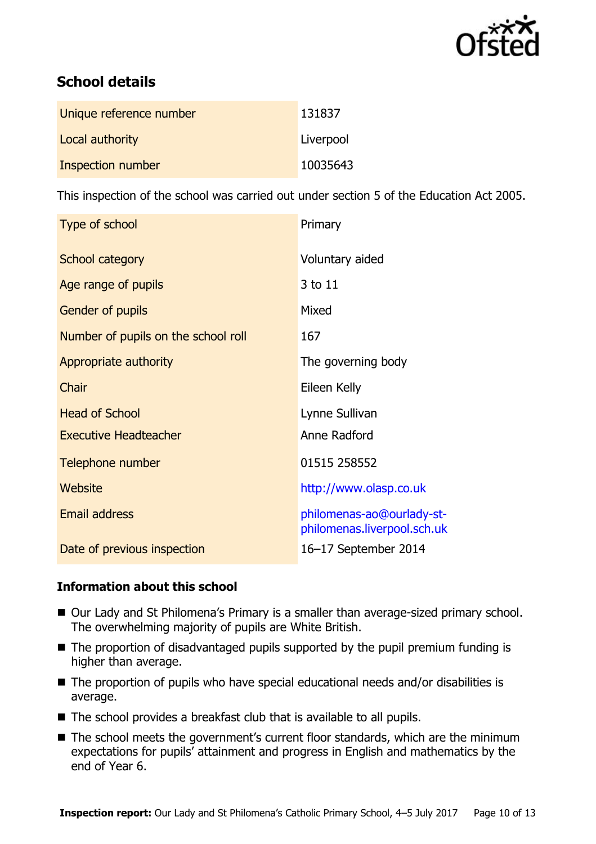

# **School details**

| Unique reference number | 131837    |
|-------------------------|-----------|
| Local authority         | Liverpool |
| Inspection number       | 10035643  |

This inspection of the school was carried out under section 5 of the Education Act 2005.

| Type of school                      | Primary                                                  |
|-------------------------------------|----------------------------------------------------------|
| School category                     | Voluntary aided                                          |
| Age range of pupils                 | 3 to 11                                                  |
| Gender of pupils                    | Mixed                                                    |
| Number of pupils on the school roll | 167                                                      |
| Appropriate authority               | The governing body                                       |
| Chair                               | Eileen Kelly                                             |
| <b>Head of School</b>               | Lynne Sullivan                                           |
| <b>Executive Headteacher</b>        | Anne Radford                                             |
| Telephone number                    | 01515 258552                                             |
| Website                             | http://www.olasp.co.uk                                   |
| <b>Email address</b>                | philomenas-ao@ourlady-st-<br>philomenas.liverpool.sch.uk |
| Date of previous inspection         | 16-17 September 2014                                     |

#### **Information about this school**

- Our Lady and St Philomena's Primary is a smaller than average-sized primary school. The overwhelming majority of pupils are White British.
- $\blacksquare$  The proportion of disadvantaged pupils supported by the pupil premium funding is higher than average.
- The proportion of pupils who have special educational needs and/or disabilities is average.
- The school provides a breakfast club that is available to all pupils.
- The school meets the government's current floor standards, which are the minimum expectations for pupils' attainment and progress in English and mathematics by the end of Year 6.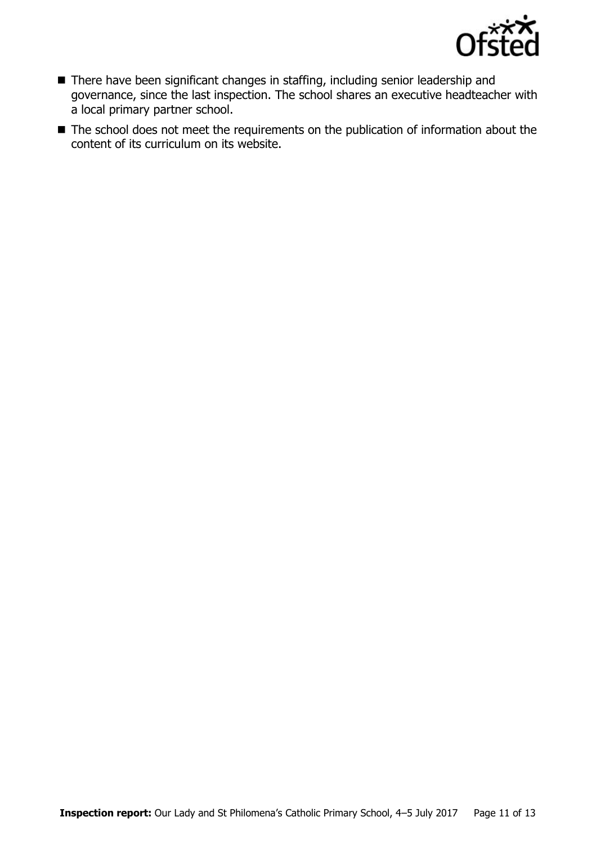

- There have been significant changes in staffing, including senior leadership and governance, since the last inspection. The school shares an executive headteacher with a local primary partner school.
- The school does not meet the requirements on the publication of information about the content of its curriculum on its website.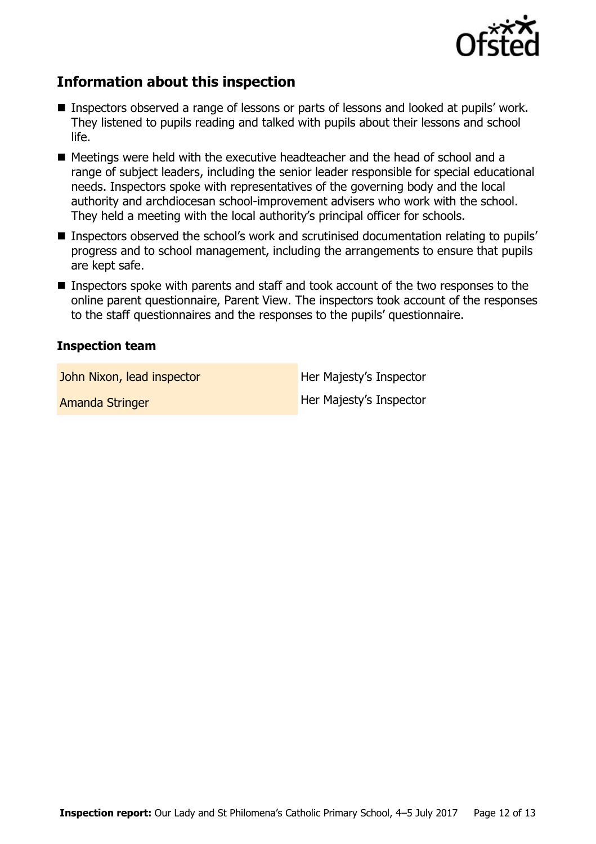

# **Information about this inspection**

- Inspectors observed a range of lessons or parts of lessons and looked at pupils' work. They listened to pupils reading and talked with pupils about their lessons and school life.
- Meetings were held with the executive headteacher and the head of school and a range of subject leaders, including the senior leader responsible for special educational needs. Inspectors spoke with representatives of the governing body and the local authority and archdiocesan school-improvement advisers who work with the school. They held a meeting with the local authority's principal officer for schools.
- Inspectors observed the school's work and scrutinised documentation relating to pupils' progress and to school management, including the arrangements to ensure that pupils are kept safe.
- Inspectors spoke with parents and staff and took account of the two responses to the online parent questionnaire, Parent View. The inspectors took account of the responses to the staff questionnaires and the responses to the pupils' questionnaire.

#### **Inspection team**

John Nixon, lead inspector **Her Majesty's Inspector** 

Amanda Stringer **Her Majesty's Inspector**